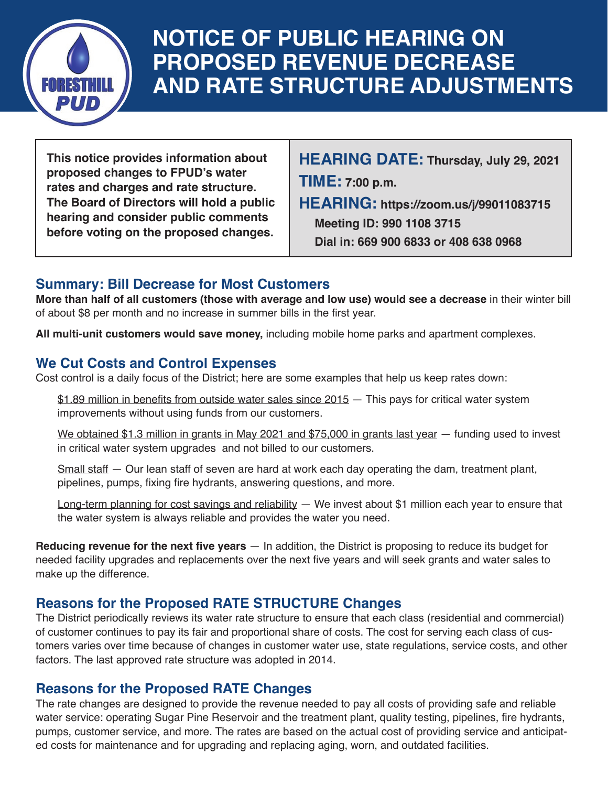

## **NOTICE OF PUBLIC HEARING ON PROPOSED REVENUE DECREASE AND RATE STRUCTURE ADJUSTMENTS**

**This notice provides information about proposed changes to FPUD's water rates and charges and rate structure. The Board of Directors will hold a public hearing and consider public comments before voting on the proposed changes.**

**HEARING DATE: Thursday, July 29, 2021 TIME: 7:00 p.m. HEARING: https://zoom.us/j/99011083715 Meeting ID: 990 1108 3715**

**Dial in: 669 900 6833 or 408 638 0968**

#### **Summary: Bill Decrease for Most Customers**

**More than half of all customers (those with average and low use) would see a decrease** in their winter bill of about \$8 per month and no increase in summer bills in the first year.

**All multi-unit customers would save money,** including mobile home parks and apartment complexes.

#### **We Cut Costs and Control Expenses**

Cost control is a daily focus of the District; here are some examples that help us keep rates down:

\$1.89 million in benefits from outside water sales since 2015 — This pays for critical water system improvements without using funds from our customers.

We obtained \$1.3 million in grants in May 2021 and \$75,000 in grants last year – funding used to invest in critical water system upgrades and not billed to our customers.

Small staff – Our lean staff of seven are hard at work each day operating the dam, treatment plant, pipelines, pumps, fixing fire hydrants, answering questions, and more.

Long-term planning for cost savings and reliability  $-$  We invest about \$1 million each year to ensure that the water system is always reliable and provides the water you need.

**Reducing revenue for the next five years** — In addition, the District is proposing to reduce its budget for needed facility upgrades and replacements over the next five years and will seek grants and water sales to make up the difference.

#### **Reasons for the Proposed RATE STRUCTURE Changes**

The District periodically reviews its water rate structure to ensure that each class (residential and commercial) of customer continues to pay its fair and proportional share of costs. The cost for serving each class of customers varies over time because of changes in customer water use, state regulations, service costs, and other factors. The last approved rate structure was adopted in 2014.

#### **Reasons for the Proposed RATE Changes**

The rate changes are designed to provide the revenue needed to pay all costs of providing safe and reliable water service: operating Sugar Pine Reservoir and the treatment plant, quality testing, pipelines, fire hydrants, pumps, customer service, and more. The rates are based on the actual cost of providing service and anticipated costs for maintenance and for upgrading and replacing aging, worn, and outdated facilities.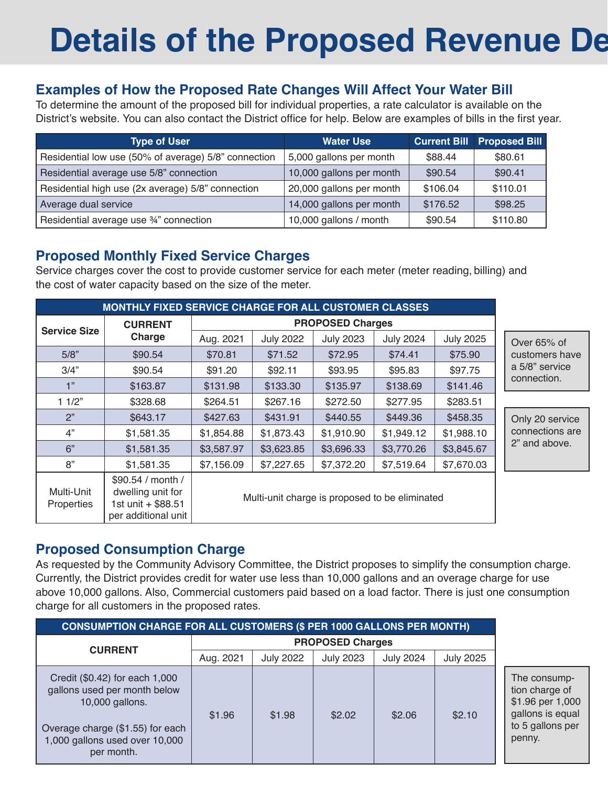# **Details of the Proposed Revenue De**

#### **Examples of How the Proposed Rate Changes Will Affect Your Water Bill**

To determine the amount of the proposed bill for individual properties, a rate calculator is available on the District's website. You can also contact the District office for help. Below are examples of bills in the first year.

| <b>Type of User</b>                                  | <b>Water Use</b>         |          | <b>Current Bill   Proposed Bill</b> |  |
|------------------------------------------------------|--------------------------|----------|-------------------------------------|--|
| Residential low use (50% of average) 5/8" connection | 5,000 gallons per month  | \$88.44  | \$80.61                             |  |
| Residential average use 5/8" connection              | 10,000 gallons per month | \$90.54  | \$90.41                             |  |
| Residential high use (2x average) 5/8" connection    | 20,000 gallons per month | \$106.04 | \$110.01                            |  |
| Average dual service                                 | 14,000 gallons per month | \$176.52 | \$98.25                             |  |
| Residential average use 3/4" connection              | 10,000 gallons / month   | \$90.54  | \$110.80                            |  |

#### **Proposed Monthly Fixed Service Charges**

Service charges cover the cost to provide customer service for each meter (meter reading, billing) and the cost of water capacity based on the size of the meter.

| <b>MONTHLY FIXED SERVICE CHARGE FOR ALL CUSTOMER CLASSES</b> |                                                                                     |                                                |                  |                  |                  |                  |                 |  |
|--------------------------------------------------------------|-------------------------------------------------------------------------------------|------------------------------------------------|------------------|------------------|------------------|------------------|-----------------|--|
| <b>Service Size</b>                                          | <b>CURRENT</b>                                                                      | <b>PROPOSED Charges</b>                        |                  |                  |                  |                  |                 |  |
|                                                              | Charge                                                                              | Aug. 2021                                      | <b>July 2022</b> | <b>July 2023</b> | <b>July 2024</b> | <b>July 2025</b> | Over 65% of     |  |
| 5/8"                                                         | \$90.54                                                                             | \$70.81                                        | \$71.52          | \$72.95          | \$74.41          | \$75.90          | customers have  |  |
| 3/4"                                                         | \$90.54                                                                             | \$91.20                                        | \$92.11          | \$93.95          | \$95.83          | \$97.75          | a 5/8" service  |  |
| 1"                                                           | \$163.87                                                                            | \$131.98                                       | \$133.30         | \$135.97         | \$138.69         | \$141.46         | connection.     |  |
| 11/2"                                                        | \$328.68                                                                            | \$264.51                                       | \$267.16         | \$272.50         | \$277.95         | \$283.51         |                 |  |
| 2"                                                           | \$643.17                                                                            | \$427.63                                       | \$431.91         | \$440.55         | \$449.36         | \$458.35         | Only 20 service |  |
| 4"                                                           | \$1,581.35                                                                          | \$1,854.88                                     | \$1,873.43       | \$1,910.90       | \$1,949.12       | \$1,988.10       | connections are |  |
| 6"                                                           | \$1,581.35                                                                          | \$3,587.97                                     | \$3,623.85       | \$3,696.33       | \$3,770.26       | \$3,845.67       | 2" and above.   |  |
| 8"                                                           | \$1,581.35                                                                          | \$7,156.09                                     | \$7,227.65       | \$7,372.20       | \$7,519.64       | \$7,670.03       |                 |  |
| Multi-Unit<br>Properties                                     | \$90.54 / month /<br>dwelling unit for<br>1st unit + \$88.51<br>per additional unit | Multi-unit charge is proposed to be eliminated |                  |                  |                  |                  |                 |  |

#### **Proposed Consumption Charge**

As requested by the Community Advisory Committee, the District proposes to simplify the consumption charge. Currently, the District provides credit for water use less than 10,000 gallons and an overage charge for use above 10,000 gallons. Also, Commercial customers paid based on a load factor. There is just one consumption charge for all customers in the proposed rates.

| <b>CONSUMPTION CHARGE FOR ALL CUSTOMERS (\$ PER 1000 GALLONS PER MONTH)</b>                                                                                           |           |                  |                         |                  |                  |                                                                                     |
|-----------------------------------------------------------------------------------------------------------------------------------------------------------------------|-----------|------------------|-------------------------|------------------|------------------|-------------------------------------------------------------------------------------|
|                                                                                                                                                                       |           |                  | <b>PROPOSED Charges</b> |                  |                  |                                                                                     |
| <b>CURRENT</b>                                                                                                                                                        | Aug. 2021 | <b>July 2022</b> | <b>July 2023</b>        | <b>July 2024</b> | <b>July 2025</b> |                                                                                     |
| Credit (\$0.42) for each 1,000<br>gallons used per month below<br>10,000 gallons.<br>Overage charge (\$1.55) for each<br>1,000 gallons used over 10,000<br>per month. | \$1.96    | \$1.98           | \$2.02                  | \$2.06           | \$2.10           | The consur<br>tion charge<br>\$1.96 per 1<br>gallons is e<br>to 5 gallons<br>penny. |

npof ,000 gual s per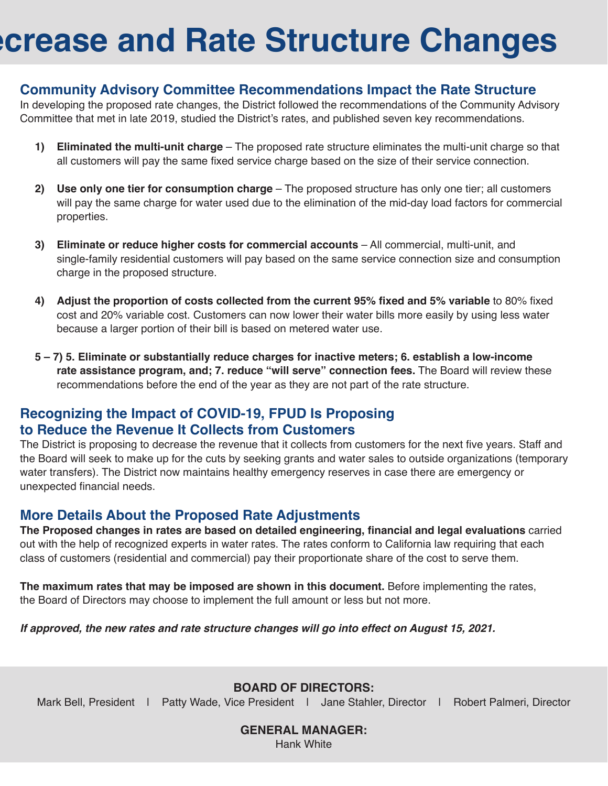## **Reference and Rate Structure Changes**

#### **Community Advisory Committee Recommendations Impact the Rate Structure**

In developing the proposed rate changes, the District followed the recommendations of the Community Advisory Committee that met in late 2019, studied the District's rates, and published seven key recommendations.

- **1) Eliminated the multi-unit charge** The proposed rate structure eliminates the multi-unit charge so that all customers will pay the same fixed service charge based on the size of their service connection.
- **2) Use only one tier for consumption charge**  The proposed structure has only one tier; all customers will pay the same charge for water used due to the elimination of the mid-day load factors for commercial properties.
- **3) Eliminate or reduce higher costs for commercial accounts** All commercial, multi-unit, and single-family residential customers will pay based on the same service connection size and consumption charge in the proposed structure.
- **4) Adjust the proportion of costs collected from the current 95% fixed and 5% variable** to 80% fixed cost and 20% variable cost. Customers can now lower their water bills more easily by using less water because a larger portion of their bill is based on metered water use.
- **5 7) 5. Eliminate or substantially reduce charges for inactive meters; 6. establish a low-income rate assistance program, and; 7. reduce "will serve" connection fees.** The Board will review these recommendations before the end of the year as they are not part of the rate structure.

#### **Recognizing the Impact of COVID-19, FPUD Is Proposing to Reduce the Revenue It Collects from Customers**

The District is proposing to decrease the revenue that it collects from customers for the next five years. Staff and the Board will seek to make up for the cuts by seeking grants and water sales to outside organizations (temporary water transfers). The District now maintains healthy emergency reserves in case there are emergency or unexpected financial needs.

#### **More Details About the Proposed Rate Adjustments**

**The Proposed changes in rates are based on detailed engineering, financial and legal evaluations** carried out with the help of recognized experts in water rates. The rates conform to California law requiring that each class of customers (residential and commercial) pay their proportionate share of the cost to serve them.

**The maximum rates that may be imposed are shown in this document.** Before implementing the rates, the Board of Directors may choose to implement the full amount or less but not more.

#### *If approved, the new rates and rate structure changes will go into effect on August 15, 2021.*

#### **BOARD OF DIRECTORS:**

Mark Bell, President | Patty Wade, Vice President | Jane Stahler, Director | Robert Palmeri, Director

#### **GENERAL MANAGER:**

Hank White